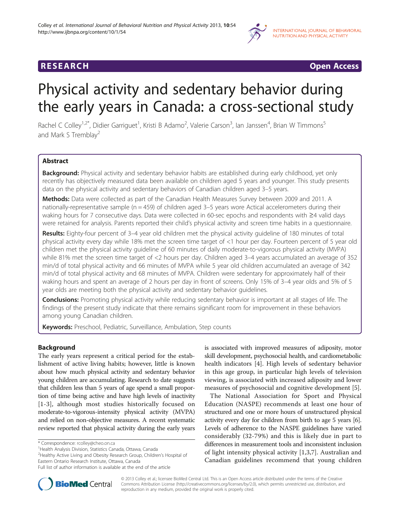

## **RESEARCH CHINESE ARCH CHINESE ARCH CHINESE ARCH <b>CHINESE ARCH**

# Physical activity and sedentary behavior during the early years in Canada: a cross-sectional study

Rachel C Colley<sup>1,2\*</sup>, Didier Garriguet<sup>1</sup>, Kristi B Adamo<sup>2</sup>, Valerie Carson<sup>3</sup>, Ian Janssen<sup>4</sup>, Brian W Timmons<sup>5</sup> and Mark S Tremblay<sup>2</sup>

## Abstract

Background: Physical activity and sedentary behavior habits are established during early childhood, yet only recently has objectively measured data been available on children aged 5 years and younger. This study presents data on the physical activity and sedentary behaviors of Canadian children aged 3–5 years.

Methods: Data were collected as part of the Canadian Health Measures Survey between 2009 and 2011. A nationally-representative sample (n = 459) of children aged 3–5 years wore Actical accelerometers during their waking hours for 7 consecutive days. Data were collected in 60-sec epochs and respondents with ≥4 valid days were retained for analysis. Parents reported their child's physical activity and screen time habits in a questionnaire.

Results: Eighty-four percent of 3–4 year old children met the physical activity quideline of 180 minutes of total physical activity every day while 18% met the screen time target of <1 hour per day. Fourteen percent of 5 year old children met the physical activity guideline of 60 minutes of daily moderate-to-vigorous physical activity (MVPA) while 81% met the screen time target of <2 hours per day. Children aged 3–4 years accumulated an average of 352 min/d of total physical activity and 66 minutes of MVPA while 5 year old children accumulated an average of 342 min/d of total physical activity and 68 minutes of MVPA. Children were sedentary for approximately half of their waking hours and spent an average of 2 hours per day in front of screens. Only 15% of 3–4 year olds and 5% of 5 year olds are meeting both the physical activity and sedentary behavior guidelines.

**Conclusions:** Promoting physical activity while reducing sedentary behavior is important at all stages of life. The findings of the present study indicate that there remains significant room for improvement in these behaviors among young Canadian children.

Keywords: Preschool, Pediatric, Surveillance, Ambulation, Step counts

## Background

The early years represent a critical period for the establishment of active living habits; however, little is known about how much physical activity and sedentary behavior young children are accumulating. Research to date suggests that children less than 5 years of age spend a small proportion of time being active and have high levels of inactivity [[1](#page-7-0)-[3](#page-7-0)], although most studies historically focused on moderate-to-vigorous-intensity physical activity (MVPA) and relied on non-objective measures. A recent systematic review reported that physical activity during the early years

<sup>1</sup>Health Analysis Division, Statistics Canada, Ottawa, Canada

<sup>2</sup> Healthy Active Living and Obesity Research Group, Children's Hospital of Eastern Ontario Research Institute, Ottawa, Canada Full list of author information is available at the end of the article

The National Association for Sport and Physical Education (NASPE) recommends at least one hour of structured and one or more hours of unstructured physical activity every day for children from birth to age 5 years [[6](#page-7-0)]. Levels of adherence to the NASPE guidelines have varied considerably (32-79%) and this is likely due in part to differences in measurement tools and inconsistent inclusion of light intensity physical activity [[1,3](#page-7-0),[7\]](#page-7-0). Australian and Canadian guidelines recommend that young children



© 2013 Colley et al.; licensee BioMed Central Ltd. This is an Open Access article distributed under the terms of the Creative Commons Attribution License [\(http://creativecommons.org/licenses/by/2.0\)](http://creativecommons.org/licenses/by/2.0), which permits unrestricted use, distribution, and reproduction in any medium, provided the original work is properly cited.

<sup>\*</sup> Correspondence: [rcolley@cheo.on.ca](mailto:rcolley@cheo.on.ca) <sup>1</sup>

is associated with improved measures of adiposity, motor skill development, psychosocial health, and cardiometabolic health indicators [\[4](#page-7-0)]. High levels of sedentary behavior in this age group, in particular high levels of television viewing, is associated with increased adiposity and lower measures of psychosocial and cognitive development [[5\]](#page-7-0).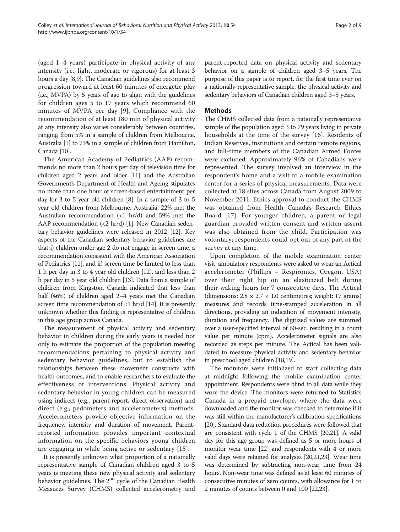(aged 1–4 years) participate in physical activity of any intensity (i.e., light, moderate or vigorous) for at least 3 hours a day [\[8,9\]](#page-7-0). The Canadian guidelines also recommend progression toward at least 60 minutes of energetic play (i.e., MVPA) by 5 years of age to align with the guidelines for children ages 5 to 17 years which recommend 60 minutes of MVPA per day [[9](#page-7-0)]. Compliance with the recommendation of at least 180 min of physical activity at any intensity also varies considerably between countries, ranging from 5% in a sample of children from Melbourne, Australia [\[1](#page-7-0)] to 73% in a sample of children from Hamilton, Canada [[10](#page-7-0)].

The American Academy of Pediatrics (AAP) recommends no more than 2 hours per day of television time for children aged 2 years and older [[11](#page-7-0)] and the Australian Government's Department of Health and Ageing stipulates no more than one hour of screen-based entertainment per day for 3 to 5 year old children [[8](#page-7-0)]. In a sample of 3 to 5 year old children from Melbourne, Australia, 22% met the Australian recommendation (<1 hr/d) and 59% met the AAP recommendation (<2 hr/d) [[1](#page-7-0)]. New Canadian sedentary behavior guidelines were released in 2012 [\[12\]](#page-7-0). Key aspects of the Canadian sedentary behavior guidelines are that i) children under age 2 do not engage in screen time, a recommendation consistent with the American Association of Pediatrics [[11](#page-7-0)], and ii) screen time be limited to less than 1 h per day in 3 to 4 year old children [[12](#page-7-0)], and less than 2 h per day in 5 year old children [[13](#page-7-0)]. Data from a sample of children from Kingston, Canada indicated that less than half (46%) of children aged 2–4 years met the Canadian screen time recommendation of  $\langle 1 \text{ hr/d } [14]$  $\langle 1 \text{ hr/d } [14]$ . It is presently unknown whether this finding is representative of children in this age group across Canada.

The measurement of physical activity and sedentary behavior in children during the early years is needed not only to estimate the proportion of the population meeting recommendations pertaining to physical activity and sedentary behavior guidelines, but to establish the relationships between these movement constructs with health outcomes, and to enable researchers to evaluate the effectiveness of interventions. Physical activity and sedentary behavior in young children can be measured using indirect (e.g., parent-report, direct observation) and direct (e.g., pedometers and accelerometers) methods. Accelerometers provide objective information on the frequency, intensity and duration of movement. Parentreported information provides important contextual information on the specific behaviors young children are engaging in while being active or sedentary [[15\]](#page-7-0).

It is presently unknown what proportion of a nationally representative sample of Canadian children aged 3 to 5 years is meeting these new physical activity and sedentary behavior guidelines. The  $2<sup>nd</sup>$  cycle of the Canadian Health Measures Survey (CHMS) collected accelerometry and parent-reported data on physical activity and sedentary behavior on a sample of children aged 3–5 years. The purpose of this paper is to report, for the first time ever on a nationally-representative sample, the physical activity and sedentary behaviors of Canadian children aged 3–5 years.

## Methods

The CHMS collected data from a nationally representative sample of the population aged 3 to 79 years living in private households at the time of the survey [[16](#page-7-0)]. Residents of Indian Reserves, institutions and certain remote regions, and full-time members of the Canadian Armed Forces were excluded. Approximately 96% of Canadians were represented. The survey involved an interview in the respondent's home and a visit to a mobile examination center for a series of physical measurements. Data were collected at 18 sites across Canada from August 2009 to November 2011. Ethics approval to conduct the CHMS was obtained from Health Canada's Research Ethics Board [[17\]](#page-7-0). For younger children, a parent or legal guardian provided written consent and written assent was also obtained from the child. Participation was voluntary; respondents could opt out of any part of the survey at any time.

Upon completion of the mobile examination center visit, ambulatory respondents were asked to wear an Actical accelerometer (Phillips – Respironics, Oregon, USA) over their right hip on an elasticized belt during their waking hours for 7 consecutive days. The Actical (dimensions:  $2.8 \times 2.7 \times 1.0$  centimetres; weight: 17 grams) measures and records time-stamped acceleration in all directions, providing an indication of movement intensity, duration and frequency. The digitized values are summed over a user-specified interval of 60-sec, resulting in a count value per minute (cpm). Accelerometer signals are also recorded as steps per minute. The Actical has been validated to measure physical activity and sedentary behavior in preschool aged children [[18,19\]](#page-7-0).

The monitors were initialized to start collecting data at midnight following the mobile examination center appointment. Respondents were blind to all data while they wore the device. The monitors were returned to Statistics Canada in a prepaid envelope, where the data were downloaded and the monitor was checked to determine if it was still within the manufacturer's calibration specifications [[20](#page-7-0)]. Standard data reduction procedures were followed that are consistent with cycle 1 of the CHMS [\[20,21\]](#page-7-0). A valid day for this age group was defined as 5 or more hours of monitor wear time [\[22\]](#page-7-0) and respondents with 4 or more valid days were retained for analyses [[20,21,23\]](#page-7-0). Wear time was determined by subtracting non-wear time from 24 hours. Non-wear time was defined as at least 60 minutes of consecutive minutes of zero counts, with allowance for 1 to 2 minutes of counts between 0 and 100 [\[22,23\]](#page-7-0).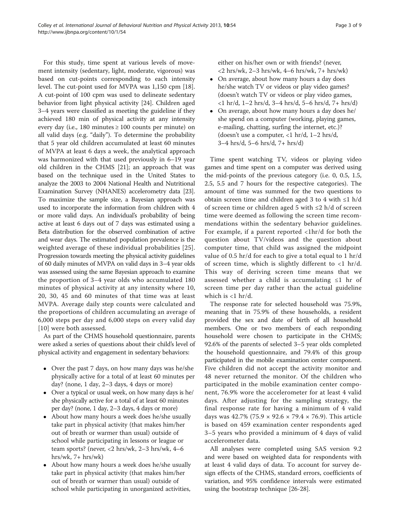For this study, time spent at various levels of movement intensity (sedentary, light, moderate, vigorous) was based on cut-points corresponding to each intensity level. The cut-point used for MVPA was 1,150 cpm [\[18](#page-7-0)]. A cut-point of 100 cpm was used to delineate sedentary behavior from light physical activity [\[24](#page-7-0)]. Children aged 3–4 years were classified as meeting the guideline if they achieved 180 min of physical activity at any intensity every day (i.e., 180 minutes  $\geq 100$  counts per minute) on all valid days (e.g. "daily"). To determine the probability that 5 year old children accumulated at least 60 minutes of MVPA at least 6 days a week, the analytical approach was harmonized with that used previously in 6–19 year old children in the CHMS [\[21](#page-7-0)]; an approach that was based on the technique used in the United States to analyze the 2003 to 2004 National Health and Nutritional Examination Survey (NHANES) accelerometry data [\[23](#page-7-0)]. To maximize the sample size, a Bayesian approach was used to incorporate the information from children with 4 or more valid days. An individual's probability of being active at least 6 days out of 7 days was estimated using a Beta distribution for the observed combination of active and wear days. The estimated population prevalence is the weighted average of these individual probabilities [[25](#page-8-0)]. Progression towards meeting the physical activity guidelines of 60 daily minutes of MVPA on valid days in 3–4 year olds was assessed using the same Bayesian approach to examine the proportion of 3–4 year olds who accumulated 180 minutes of physical activity at any intensity where 10, 20, 30, 45 and 60 minutes of that time was at least MVPA. Average daily step counts were calculated and the proportions of children accumulating an average of 6,000 steps per day and 6,000 steps on every valid day [[10](#page-7-0)] were both assessed.

As part of the CHMS household questionnaire, parents were asked a series of questions about their child's level of physical activity and engagement in sedentary behaviors:

- Over the past 7 days, on how many days was he/she physically active for a total of at least 60 minutes per day? (none, 1 day, 2–3 days, 4 days or more)
- Over a typical or usual week, on how many days is he/ she physically active for a total of at least 60 minutes per day? (none, 1 day, 2–3 days, 4 days or more)
- About how many hours a week does he/she usually take part in physical activity (that makes him/her out of breath or warmer than usual) outside of school while participating in lessons or league or team sports? (never, <2 hrs/wk, 2–3 hrs/wk, 4–6  $hrs/wk$ , 7+  $hrs/wk$ )
- About how many hours a week does he/she usually take part in physical activity (that makes him/her out of breath or warmer than usual) outside of school while participating in unorganized activities,

either on his/her own or with friends? (never, <2 hrs/wk, 2–3 hrs/wk, 4–6 hrs/wk, 7+ hrs/wk)

- On average, about how many hours a day does he/she watch TV or videos or play video games? (doesn't watch TV or videos or play video games, <1 hr/d, 1–2 hrs/d, 3–4 hrs/d, 5–6 hrs/d, 7+ hrs/d)
- On average, about how many hours a day does he/ she spend on a computer (working, playing games, e-mailing, chatting, surfing the internet, etc.)? (doesn't use a computer, <1 hr/d, 1–2 hrs/d, 3–4 hrs/d, 5–6 hrs/d, 7+ hrs/d)

Time spent watching TV, videos or playing video games and time spent on a computer was derived using the mid-points of the previous category (i.e. 0, 0.5, 1.5, 2.5, 5.5 and 7 hours for the respective categories). The amount of time was summed for the two questions to obtain screen time and children aged 3 to 4 with  $\leq 1$  h/d of screen time or children aged 5 with ≤2 h/d of screen time were deemed as following the screen time recommendations within the sedentary behavior guidelines. For example, if a parent reported <1hr/d for both the question about TV/videos and the question about computer time, that child was assigned the midpoint value of 0.5 hr/d for each to give a total equal to 1 hr/d of screen time, which is slightly different to  $<$ 1 hr/d. This way of deriving screen time means that we assessed whether a child is accumulating ≤1 hr of screen time per day rather than the actual guideline which is  $<$ 1 hr/d.

The response rate for selected household was 75.9%, meaning that in 75.9% of these households, a resident provided the sex and date of birth of all household members. One or two members of each responding household were chosen to participate in the CHMS; 92.6% of the parents of selected 3–5 year olds completed the household questionnaire, and 79.4% of this group participated in the mobile examination center component. Five children did not accept the activity monitor and 48 never returned the monitor. Of the children who participated in the mobile examination center component, 76.9% wore the accelerometer for at least 4 valid days. After adjusting for the sampling strategy, the final response rate for having a minimum of 4 valid days was 42.7% (75.9  $\times$  92.6  $\times$  79.4  $\times$  76.9). This article is based on 459 examination center respondents aged 3–5 years who provided a minimum of 4 days of valid accelerometer data.

All analyses were completed using SAS version 9.2 and were based on weighted data for respondents with at least 4 valid days of data. To account for survey design effects of the CHMS, standard errors, coefficients of variation, and 95% confidence intervals were estimated using the bootstrap technique [\[26](#page-8-0)-[28\]](#page-8-0).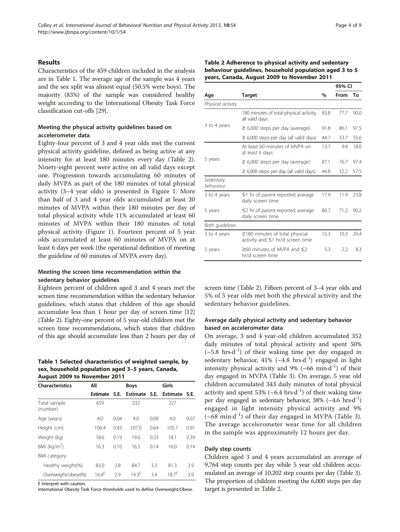#### <span id="page-3-0"></span>Results

Characteristics of the 459 children included in the analysis are in Table 1. The average age of the sample was 4 years and the sex split was almost equal (50.5% were boys). The majority (83%) of the sample was considered healthy weight according to the International Obesity Task Force classification cut-offs [\[29\]](#page-8-0).

## Meeting the physical activity guidelines based on accelerometer data

Eighty-four percent of 3 and 4 year olds met the current physical activity guideline, defined as being active at any intensity for at least 180 minutes every day (Table 2). Ninety-eight percent were active on all valid days except one. Progression towards accumulating 60 minutes of daily MVPA as part of the 180 minutes of total physical activity (3–4 year olds) is presented in Figure [1.](#page-4-0) More than half of 3 and 4 year olds accumulated at least 20 minutes of MVPA within their 180 minutes per day of total physical activity while 11% accumulated at least 60 minutes of MVPA within their 180 minutes of total physical activity (Figure [1\)](#page-4-0). Fourteen percent of 5 year olds accumulated at least 60 minutes of MVPA on at least 6 days per week (the operational definition of meeting the guideline of 60 minutes of MVPA every day).

## Meeting the screen time recommendation within the sedentary behavior guidelines

Eighteen percent of children aged 3 and 4 years met the screen time recommendation within the sedentary behavior guidelines, which states that children of this age should accumulate less than 1 hour per day of screen time [[12](#page-7-0)] (Table 2). Eighty-one percent of 5 year-old children met the screen time recommendations, which states that children of this age should accumulate less than 2 hours per day of

Table 1 Selected characteristics of weighted sample, by sex, household population aged 3–5 years, Canada, August 2009 to November 2011

| <b>Characteristics</b>   | All               |      | <b>Boys</b>   |      | Girls           |      |  |  |
|--------------------------|-------------------|------|---------------|------|-----------------|------|--|--|
|                          | Estimate          | S.E. | Estimate S.E. |      | <b>Estimate</b> | S.E. |  |  |
| Total sample<br>(number) | 459               |      | 232           |      | 227             |      |  |  |
| Age (years)              | 4.0               | 0.04 | 4.0           | 0.09 | 4.0             | 0.07 |  |  |
| Height (cm)              | 106.4             | 0.43 | 107.0         | 0.64 | 105.7           | 0.91 |  |  |
| Weight (kg)              | 18.6              | 0.19 | 19.0          | 0.33 | 18.1            | 0.39 |  |  |
| BMI ( $kg/m2$ )          | 16.3              | 0.10 | 16.5          | 0.14 | 16.0            | 0.14 |  |  |
| <b>BMI</b> category      |                   |      |               |      |                 |      |  |  |
| Healthy weight(%)        | 83.0              | 2.8  | 84.7          | 3.3  | 81.3            | 3.9  |  |  |
| Overweight/obese(%)      | 16.4 <sup>E</sup> | 2.9  | $14.3^{E}$    | 3.4  | $18.7^{E}$      | 3.9  |  |  |

E Interpret with caution.

International Obesity Task Force thresholds used to define Overweight/Obese.

| Table 2 Adherence to physical activity and sedentary   |
|--------------------------------------------------------|
| behaviour guidelines, household population aged 3 to 5 |
| years, Canada, August 2009 to November 2011            |

|                        |                                                                                |               | 95% CI |      |  |  |
|------------------------|--------------------------------------------------------------------------------|---------------|--------|------|--|--|
| Age                    | <b>Target</b>                                                                  | $\frac{0}{0}$ | From   | To   |  |  |
| Physical activity      |                                                                                |               |        |      |  |  |
|                        | 180 minutes of total physical activity,<br>all valid days                      | 83.8          | 77.7   | 90.0 |  |  |
| 3 to 4 years           | $\geq$ 6,000 steps per day (average)                                           | 91.8          | 86.1   | 97.5 |  |  |
|                        | $\geq$ 6,000 steps per day (all valid days)                                    | 44.7          | 33.7   | 55.6 |  |  |
|                        | At least 60 minutes of MVPA on<br>at least 6 days                              | 13.7          | 9.4    | 18.0 |  |  |
| 5 years                | $\geq$ 6,000 steps per day (average)                                           | 87.1          | 76.7   | 97.4 |  |  |
|                        | $\geq$ 6,000 steps per day (all valid days)                                    | 44.8          | 32.2   | 57.5 |  |  |
| Sedentary<br>behaviour |                                                                                |               |        |      |  |  |
| 3 to 4 years           | $\leq$ 1 hr of parent-reported average<br>daily screen time                    | 17.9          | 11.9   | 23.8 |  |  |
| 5 years                | $\leq$ 2 hr of parent-reported average<br>daily screen time                    | 80.7          | 71.2   | 90.2 |  |  |
| Both guidelines        |                                                                                |               |        |      |  |  |
| 3 to 4 years           | $\geq$ 180 minutes of total physical<br>activity and $\leq$ 1 hr/d screen time | 15.3          | 10.3   | 20.4 |  |  |
| 5 years                | ≥60 minutes of MVPA and ≤2<br>hr/d screen time                                 | 5.3           | 2.2    | 8.3  |  |  |

screen time (Table 2). Fifteen percent of 3–4 year olds and 5% of 5 year olds met both the physical activity and the sedentary behavior guidelines.

## Average daily physical activity and sedentary behavior based on accelerometer data

On average, 3 and 4 year-old children accumulated 352 daily minutes of total physical activity and spent 50%  $({\sim}5.8 \text{ hrs} \cdot d^{-1})$  of their waking time per day engaged in sedentary behavior, 41% ( $\sim$ 4.8 hrs⋅d<sup>-1</sup>)</sup> engaged in light intensity physical activity and 9% (~66 min∙d-1) of their day engaged in MVPA (Table [3\)](#page-4-0). On average, 5 year old children accumulated 343 daily minutes of total physical activity and spent 53% (~6.4 hrs∙d<sup>-1</sup>) of their waking time per day engaged in sedentary behavior, 38% ( $\sim$ 4.6 hrs∙d<sup>-1</sup>) engaged in light intensity physical activity and 9%  $({\sim}68 \text{ min} \cdot d^{-1})$  of their day engaged in MVPA (Table [3](#page-4-0)). The average accelerometer wear time for all children in the sample was approximately 12 hours per day.

#### Daily step counts

Children aged 3 and 4 years accumulated an average of 9,764 step counts per day while 5 year old children accumulated an average of 10,202 step counts per day (Table [3](#page-4-0)). The proportion of children meeting the 6,000 steps per day target is presented in Table 2.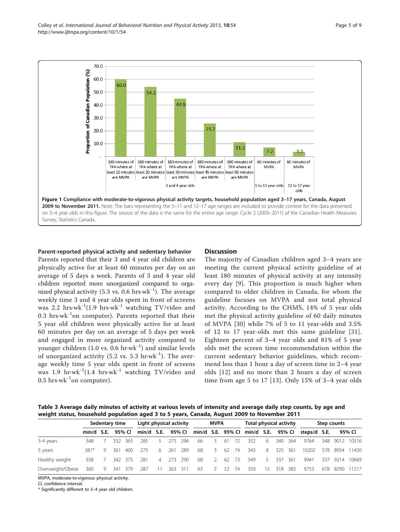<span id="page-4-0"></span>

#### Parent-reported physical activity and sedentary behavior

Parents reported that their 3 and 4 year old children are physically active for at least 60 minutes per day on an average of 5 days a week. Parents of 3 and 4 year old children reported more unorganized compared to organized physical activity (5.3 vs. 0.6 hrs⋅wk<sup>-1</sup>). The average weekly time 3 and 4 year olds spent in front of screens was 2.2 hrs∙wk-1(1.9 hrs∙wk-1 watching TV/video and 0.3 hrs∙wk-1on computer). Parents reported that their 5 year old children were physically active for at least 60 minutes per day on an average of 5 days per week and engaged in more organized activity compared to younger children (1.0 vs. 0.6 hr⋅wk<sup>-1</sup>) and similar levels of unorganized activity (5.2 vs. 5.3 hr⋅wk<sup>-1</sup>). The average weekly time 5 year olds spent in front of screens was 1.9 hr∙wk-1(1.4 hrs∙wk-1 watching TV/video and 0.5 hrs∙wk-1on computer).

### **Discussion**

The majority of Canadian children aged 3–4 years are meeting the current physical activity guideline of at least 180 minutes of physical activity at any intensity every day [\[9](#page-7-0)]. This proportion is much higher when compared to older children in Canada, for whom the guideline focuses on MVPA and not total physical activity. According to the CHMS, 14% of 5 year olds met the physical activity guideline of 60 daily minutes of MVPA [[30](#page-8-0)] while 7% of 5 to 11 year-olds and 3.5% of 12 to 17 year-olds met this same guideline [[31](#page-8-0)]. Eighteen percent of 3–4 year olds and 81% of 5 year olds met the screen time recommendation within the current sedentary behavior guidelines, which recommend less than 1 hour a day of screen time in 2–4 year olds [[12](#page-7-0)] and no more than 2 hours a day of screen time from age 5 to 17 [\[13\]](#page-7-0). Only 15% of 3–4 year olds

Table 3 Average daily minutes of activity at various levels of intensity and average daily step counts, by age and weight status, household population aged 3 to 5 years, Canada, August 2009 to November 2011

|                  | Sedentary time |                 |           |         | Light physical activity      |    |           |       | MVPA       |         |         |       | Total physical activity |           |           |            | Step counts                                                                                 |  |  |                |
|------------------|----------------|-----------------|-----------|---------|------------------------------|----|-----------|-------|------------|---------|---------|-------|-------------------------|-----------|-----------|------------|---------------------------------------------------------------------------------------------|--|--|----------------|
|                  |                |                 |           |         |                              |    |           |       |            |         |         |       |                         |           |           |            | min/d S.E. 95% Cl min/d S.E. 95% Cl min/d S.E. 95% Cl min/d S.E. 95% Cl steps/d S.E. 95% Cl |  |  |                |
| 3-4 years        | 348.           |                 |           |         | 332 365 285                  |    | 5 275 296 |       | 66 3       |         |         | 61 72 | 352                     | 6 340 364 |           |            | 9764                                                                                        |  |  | 348 9012 10516 |
| 5 years          | 381*           |                 | 9 361 400 |         | - 275                        | -6 | - 261     | - 289 | 68 3 62 74 |         |         |       | 343 8 325 361           |           |           |            | 10202                                                                                       |  |  | 578 8954 11450 |
| Healthy weight   | 358            | $7\overline{ }$ |           | 342 375 | 281                          |    | 4 273 290 |       | - 68       | 2 62 73 |         |       | 349                     |           | 5 337 361 |            | 9941                                                                                        |  |  | 337 9214 10669 |
| Overweight/Obese |                |                 |           |         | 360 9 341 379 287 11 263 311 |    |           |       | 63         |         | 5 52 74 |       | 350                     |           |           | 15 318 382 | 9753                                                                                        |  |  | 678 8290 11217 |

MVPA, moderate-to-vigorous physical activity.

CI, confidence interval.

\* Significantly different to 3–4 year old children.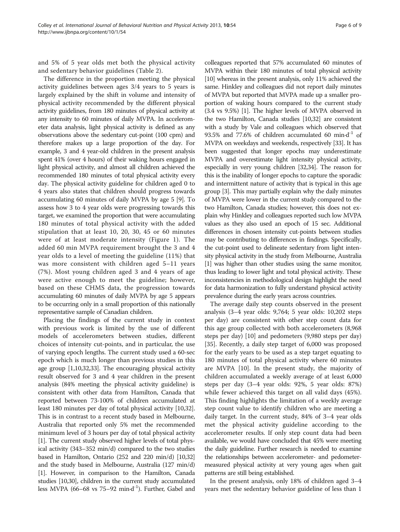and 5% of 5 year olds met both the physical activity and sedentary behavior guidelines (Table [2](#page-3-0)).

The difference in the proportion meeting the physical activity guidelines between ages 3/4 years to 5 years is largely explained by the shift in volume and intensity of physical activity recommended by the different physical activity guidelines, from 180 minutes of physical activity at any intensity to 60 minutes of daily MVPA. In accelerometer data analysis, light physical activity is defined as any observations above the sedentary cut-point (100 cpm) and therefore makes up a large proportion of the day. For example, 3 and 4 year-old children in the present analysis spent 41% (over 4 hours) of their waking hours engaged in light physical activity, and almost all children achieved the recommended 180 minutes of total physical activity every day. The physical activity guideline for children aged 0 to 4 years also states that children should progress towards accumulating 60 minutes of daily MVPA by age 5 [[9\]](#page-7-0). To assess how 3 to 4 year olds were progressing towards this target, we examined the proportion that were accumulating 180 minutes of total physical activity with the added stipulation that at least 10, 20, 30, 45 or 60 minutes were of at least moderate intensity (Figure [1\)](#page-4-0). The added 60 min MVPA requirement brought the 3 and 4 year olds to a level of meeting the guideline (11%) that was more consistent with children aged 5–11 years (7%). Most young children aged 3 and 4 years of age were active enough to meet the guideline; however, based on these CHMS data, the progression towards accumulating 60 minutes of daily MVPA by age 5 appears to be occurring only in a small proportion of this nationally representative sample of Canadian children.

Placing the findings of the current study in context with previous work is limited by the use of different models of accelerometers between studies, different choices of intensity cut-points, and in particular, the use of varying epoch lengths. The current study used a 60-sec epoch which is much longer than previous studies in this age group [\[1,10](#page-7-0)[,32,33](#page-8-0)]. The encouraging physical activity result observed for 3 and 4 year children in the present analysis (84% meeting the physical activity guideline) is consistent with other data from Hamilton, Canada that reported between 73-100% of children accumulated at least 180 minutes per day of total physical activity [\[10,](#page-7-0)[32](#page-8-0)]. This is in contrast to a recent study based in Melbourne, Australia that reported only 5% met the recommended minimum level of 3 hours per day of total physical activity [[1](#page-7-0)]. The current study observed higher levels of total physical activity (343–352 min/d) compared to the two studies based in Hamilton, Ontario (252 and 220 min/d) [\[10,](#page-7-0)[32](#page-8-0)] and the study based in Melbourne, Australia (127 min/d) [[1](#page-7-0)]. However, in comparison to the Hamilton, Canada studies [\[10](#page-7-0)[,30](#page-8-0)], children in the current study accumulated less MVPA (66–68 vs 75–92 min∙d-1). Further, Gabel and

colleagues reported that 57% accumulated 60 minutes of MVPA within their 180 minutes of total physical activity [[10](#page-7-0)] whereas in the present analysis, only 11% achieved the same. Hinkley and colleagues did not report daily minutes of MVPA but reported that MVPA made up a smaller proportion of waking hours compared to the current study (3.4 vs 9.5%) [[1](#page-7-0)]. The higher levels of MVPA observed in the two Hamilton, Canada studies [[10](#page-7-0)[,32\]](#page-8-0) are consistent with a study by Vale and colleagues which observed that 93.5% and 77.6% of children accumulated 60 min⋅d<sup>-1</sup> of MVPA on weekdays and weekends, respectively [\[33\]](#page-8-0). It has been suggested that longer epochs may underestimate MVPA and overestimate light intensity physical activity, especially in very young children [[32,34\]](#page-8-0). The reason for this is the inability of longer epochs to capture the sporadic and intermittent nature of activity that is typical in this age group [[3\]](#page-7-0). This may partially explain why the daily minutes of MVPA were lower in the current study compared to the two Hamilton, Canada studies; however, this does not explain why Hinkley and colleagues reported such low MVPA values as they also used an epoch of 15 sec. Additional differences in chosen intensity cut-points between studies may be contributing to differences in findings. Specifically, the cut-point used to delineate sedentary from light intensity physical activity in the study from Melbourne, Australia [[1](#page-7-0)] was higher than other studies using the same monitor, thus leading to lower light and total physical activity. These inconsistencies in methodological design highlight the need for data harmonization to fully understand physical activity prevalence during the early years across countries.

The average daily step counts observed in the present analysis (3–4 year olds: 9,764; 5 year olds: 10,202 steps per day) are consistent with other step count data for this age group collected with both accelerometers (8,968 steps per day) [\[10](#page-7-0)] and pedometers (9,980 steps per day) [[35\]](#page-8-0). Recently, a daily step target of 6,000 was proposed for the early years to be used as a step target equating to 180 minutes of total physical activity where 60 minutes are MVPA [\[10\]](#page-7-0). In the present study, the majority of children accumulated a weekly average of at least 6,000 steps per day (3–4 year olds: 92%, 5 year olds: 87%) while fewer achieved this target on all valid days (45%). This finding highlights the limitation of a weekly average step count value to identify children who are meeting a daily target. In the current study, 84% of 3–4 year olds met the physical activity guideline according to the accelerometer results. If only step count data had been available, we would have concluded that 45% were meeting the daily guideline. Further research is needed to examine the relationships between accelerometer- and pedometermeasured physical activity at very young ages when gait patterns are still being established.

In the present analysis, only 18% of children aged 3–4 years met the sedentary behavior guideline of less than 1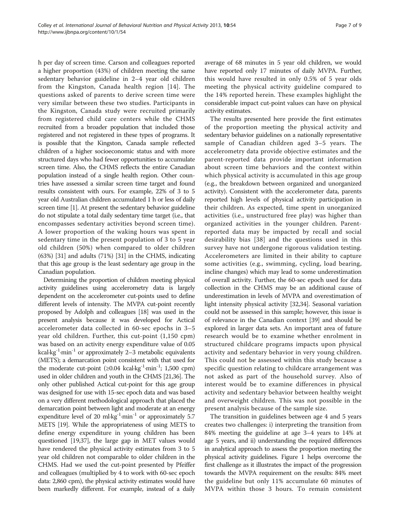h per day of screen time. Carson and colleagues reported a higher proportion (43%) of children meeting the same sedentary behavior guideline in 2–4 year old children from the Kingston, Canada health region [[14\]](#page-7-0). The questions asked of parents to derive screen time were very similar between these two studies. Participants in the Kingston, Canada study were recruited primarily from registered child care centers while the CHMS recruited from a broader population that included those registered and not registered in these types of programs. It is possible that the Kingston, Canada sample reflected children of a higher socioeconomic status and with more structured days who had fewer opportunities to accumulate screen time. Also, the CHMS reflects the entire Canadian population instead of a single health region. Other countries have assessed a similar screen time target and found results consistent with ours. For example, 22% of 3 to 5 year old Australian children accumulated 1 h or less of daily screen time [[1](#page-7-0)]. At present the sedentary behavior guideline do not stipulate a total daily sedentary time target (i.e., that encompasses sedentary activities beyond screen time). A lower proportion of the waking hours was spent in sedentary time in the present population of 3 to 5 year old children (50%) when compared to older children (63%) [\[31](#page-8-0)] and adults (71%) [\[31\]](#page-8-0) in the CHMS, indicating that this age group is the least sedentary age group in the Canadian population.

Determining the proportion of children meeting physical activity guidelines using accelerometry data is largely dependent on the accelerometer cut-points used to define different levels of intensity. The MVPA cut-point recently proposed by Adolph and colleagues [\[18](#page-7-0)] was used in the present analysis because it was developed for Actical accelerometer data collected in 60-sec epochs in 3–5 year old children. Further, this cut-point (1,150 cpm) was based on an activity energy expenditure value of 0.05 kcal∙kg-1∙min-1 or approximately 2–3 metabolic equivalents (METS); a demarcation point consistent with that used for the moderate cut-point (≥0.04 kcal∙kg-1∙min-1; 1,500 cpm) used in older children and youth in the CHMS [\[21,](#page-7-0)[36](#page-8-0)]. The only other published Actical cut-point for this age group was designed for use with 15-sec epoch data and was based on a very different methodological approach that placed the demarcation point between light and moderate at an energy expenditure level of 20 ml⋅kg<sup>-1</sup>⋅min<sup>-1</sup> or approximately 5.7 METS [\[19](#page-7-0)]. While the appropriateness of using METS to define energy expenditure in young children has been questioned [\[19,](#page-7-0)[37](#page-8-0)], the large gap in MET values would have rendered the physical activity estimates from 3 to 5 year old children not comparable to older children in the CHMS. Had we used the cut-point presented by Pfeiffer and colleagues (multiplied by 4 to work with 60-sec epoch data: 2,860 cpm), the physical activity estimates would have been markedly different. For example, instead of a daily

average of 68 minutes in 5 year old children, we would have reported only 17 minutes of daily MVPA. Further, this would have resulted in only 0.5% of 5 year olds meeting the physical activity guideline compared to the 14% reported herein. These examples highlight the considerable impact cut-point values can have on physical activity estimates.

The results presented here provide the first estimates of the proportion meeting the physical activity and sedentary behavior guidelines on a nationally representative sample of Canadian children aged 3–5 years. The accelerometry data provide objective estimates and the parent-reported data provide important information about screen time behaviors and the context within which physical activity is accumulated in this age group (e.g., the breakdown between organized and unorganized activity). Consistent with the accelerometer data, parents reported high levels of physical activity participation in their children. As expected, time spent in unorganized activities (i.e., unstructured free play) was higher than organized activities in the younger children. Parentreported data may be impacted by recall and social desirability bias [[38\]](#page-8-0) and the questions used in this survey have not undergone rigorous validation testing. Accelerometers are limited in their ability to capture some activities (e.g., swimming, cycling, load bearing, incline changes) which may lead to some underestimation of overall activity. Further, the 60-sec epoch used for data collection in the CHMS may be an additional cause of underestimation in levels of MVPA and overestimation of light intensity physical activity [\[32,34](#page-8-0)]. Seasonal variation could not be assessed in this sample; however, this issue is of relevance in the Canadian context [[39](#page-8-0)] and should be explored in larger data sets. An important area of future research would be to examine whether enrolment in structured childcare programs impacts upon physical activity and sedentary behavior in very young children. This could not be assessed within this study because a specific question relating to childcare arrangement was not asked as part of the household survey. Also of interest would be to examine differences in physical activity and sedentary behavior between healthy weight and overweight children. This was not possible in the present analysis because of the sample size.

The transition in guidelines between age 4 and 5 years creates two challenges: i) interpreting the transition from 84% meeting the guideline at age 3–4 years to 14% at age 5 years, and ii) understanding the required differences in analytical approach to assess the proportion meeting the physical activity guidelines. Figure [1](#page-4-0) helps overcome the first challenge as it illustrates the impact of the progression towards the MVPA requirement on the results: 84% meet the guideline but only 11% accumulate 60 minutes of MVPA within those 3 hours. To remain consistent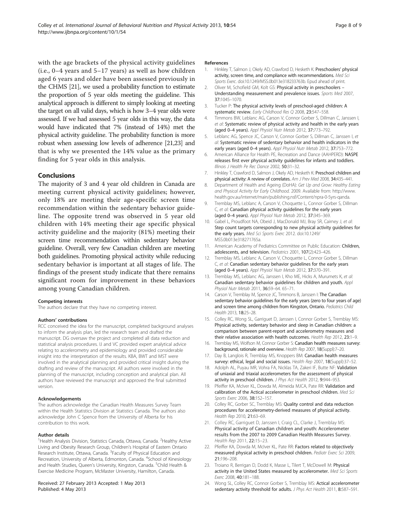<span id="page-7-0"></span>with the age brackets of the physical activity guidelines (i.e., 0–4 years and 5–17 years) as well as how children aged 6 years and older have been assessed previously in the CHMS [21], we used a probability function to estimate the proportion of 5 year olds meeting the guideline. This analytical approach is different to simply looking at meeting the target on all valid days, which is how 3–4 year olds were assessed. If we had assessed 5 year olds in this way, the data would have indicated that 7% (instead of 14%) met the physical activity guideline. The probability function is more robust when assessing low levels of adherence [21,23] and that is why we presented the 14% value as the primary finding for 5 year olds in this analysis.

### Conclusions

The majority of 3 and 4 year old children in Canada are meeting current physical activity guidelines; however, only 18% are meeting their age-specific screen time recommendation within the sedentary behavior guideline. The opposite trend was observed in 5 year old children with 14% meeting their age specific physical activity guideline and the majority (81%) meeting their screen time recommendation within sedentary behavior guideline. Overall, very few Canadian children are meeting both guidelines. Promoting physical activity while reducing sedentary behavior is important at all stages of life. The findings of the present study indicate that there remains significant room for improvement in these behaviors among young Canadian children.

#### Competing interests

The authors declare that they have no competing interest.

#### Authors' contributions

RCC conceived the idea for the manuscript, completed background analyses to inform the analysis plan, led the research team and drafted the manuscript. DG oversaw the project and completed all data reduction and statistical analysis procedures. IJ and VC provided expert analytical advice relating to accelerometry and epidemiology and provided considerable insight into the interpretation of the results. KBA, BWT and MST were involved in the analytical planning and provided critical insight during the drafting and review of the manuscript. All authors were involved in the planning of the manuscript, including conception and analytical plan. All authors have reviewed the manuscript and approved the final submitted version.

#### Acknowledgements

The authors acknowledge the Canadian Health Measures Survey Team within the Health Statistics Division at Statistics Canada. The authors also acknowledge John C Spence from the University of Alberta for his contribution to this work.

#### Author details

<sup>1</sup>Health Analysis Division, Statistics Canada, Ottawa, Canada. <sup>2</sup>Healthy Active Living and Obesity Research Group, Children's Hospital of Eastern Ontario Research Institute, Ottawa, Canada. <sup>3</sup> Faculty of Physical Education and Recreation, University of Alberta, Edmonton, Canada. <sup>4</sup>School of Kinesiology and Health Studies, Queen's University, Kingston, Canada. <sup>5</sup>Child Health & Exercise Medicine Program, McMaster University, Hamilton, Canada.

#### Received: 27 February 2013 Accepted: 1 May 2013 Published: 4 May 2013

#### References

- 1. Hinkley T, Salmon J, Okely AD, Crawford D, Hesketh K: Preschoolers' physical activity, screen time, and compliance with recommendations. Med Sci Sports Exerc. doi[:10.1249/MSS.0b013e318233763b.](http://dx.doi.org/10.1249/MSS.0b013e318233763b) Epud ahead of print.
- 2. Oliver M, Schofield GM, Kolt GS: Physical activity in preschoolers -Understanding measurement and prevalence issues. Sports Med 2007, 37:1045–1070.
- 3. Tucker P: The physical activity levels of preschool-aged children: A systematic review. Early Childhood Res Q 2008, 23:547–558.
- 4. Timmons BW, Leblanc AG, Carson V, Connor Gorber S, Dillman C, Janssen I, et al: Systematic review of physical activity and health in the early years (aged 0–4 years). Appl Physiol Nutr Metab 2012, 37:773–792.
- Leblanc AG, Spence JC, Carson V, Connor Gorber S, Dillman C, Janssen I, et al: Systematic review of sedentary behavior and health indicators in the early years (aged 0-4 years). Appl Physiol Nutr Metab 2012, 37:753-772.
- 6. American Alliance for Health PE, Recreation and Dance (AAHPERD): NASPE releases first ever physical activity guidelines for infants and toddlers. Illinois J Health Pe Rec Dance 2002, 50:31-32.
- 7. Hinkley T, Crawford D, Salmon J, Okely AD, Hesketh K: Preschool children and physical activity: A review of correlates. Am J Prev Med 2008, 34:435-441.
- 8. Department of Health and Ageing (DoHA): Get Up and Grow: Healthy Eating and Physical Activity for Early Childhood. 2009. Available from: [http://www.](http://www.health.gov.au/internet/main/publishing.nsf/Content/npra-0-5yrs-qanda) [health.gov.au/internet/main/publishing.nsf/Content/npra-0-5yrs-qanda](http://www.health.gov.au/internet/main/publishing.nsf/Content/npra-0-5yrs-qanda).
- 9. Tremblay MS, Leblanc A, Carson V, Choquette L, Connor Gorber S, Dillman C, et al: Canadian physical activity guidelines for the early years (aged 0–4 years). Appl Physiol Nutr Metab 2012, 37:345–369.
- 10. Gabel L, Proudfoot NA, Obeid J, MacDonald MJ, Bray SR, Cairney J, et al: Step count targets corresponding to new physical activity guidelines for the early years. Med Sci Sports Exerc 2012. doi:[10.1249/](http://dx.doi.org/10.1249/MSS.0b013e318271765a) [MSS.0b013e318271765a.](http://dx.doi.org/10.1249/MSS.0b013e318271765a)
- 11. American Academy of Pediatrics Committee on Public Education: Children, adolescents, and television. Pediatrics 2001, 107(2):423–426.
- 12. Tremblay MS, Leblanc A, Carson V, Choquette L, Connor Gorber S, Dillman C, et al: Canadian sedentary behavior guidelines for the early years (aged 0–4 years). Appl Physiol Nutr Metab 2012, 37:370–391.
- 13. Tremblay MS, Leblanc AG, Janssen I, Kho ME, Hicks A, Murumets K, et al: Canadian sedentary behavior guidelines for children and youth. Appl Physiol Nutr Metab 2011, 36:59–64. 65–71.
- 14. Carson V, Tremblay M, Spence JC, Timmons B, Janssen I: The Canadian sedentary behavior guidelines for the early years (zero to four years of age) and screen time among children from Kingston, Ontario. Pediatrics Child Health 2013, 18:25–28.
- 15. Colley RC, Wong SL, Garriguet D, Janssen I, Connor Gorber S, Tremblay MS: Physical activity, sedentary behavior and sleep in Canadian children: a comparison between parent-report and accelerometry measures and their relative association with health outcomes. Health Rep 2012, 23:1-9.
- 16. Tremblay MS, Wolfson M, Connor Gorber S: Canadian health measures survey: background, rationale and overview. Health Rep 2007, 18(Suppl):7–20.
- 17. Day B, Langlois R, Tremblay MS, Knoppers BM: Canadian health measures survey: ethical, legal and social issues. Health Rep 2007, 18(Suppl):37-52.
- 18. Adolph AL, Puyau MR, Vohra FA, Nicklas TA, Zakeri IF, Butte NF: Validation of uniaxial and triaxial accelerometers for the assessment of physical activity in preschool children. J Phys Act Health 2012, 9:944-953.
- 19. Pfeiffer KA, McIver KL, Dowda M, Almeida MJCA, Pate RR: Validation and calibration of the Actical accelerometer in preschool children. Med Sci Sports Exerc 2006, 38:152–157.
- 20. Colley RC, Gorber SC, Tremblay MS: Quality control and data reduction procedures for accelerometry-derived measures of physical activity. Health Rep 2010, 21:63–69.
- 21. Colley RC, Garriguet D, Janssen I, Craig CL, Clarke J, Tremblay MS: Physical activity of Canadian children and youth: Accelerometer results from the 2007 to 2009 Canadian Health Measures Survey. Health Rep 2011, 22:15–23.
- 22. Pfeiffer KA, Dowda M, McIver KL, Pate RR: Factors related to objectively measured physical activity in preschool children. Pediatr Exerc Sci 2009, 21:196–208.
- 23. Troiano R, Berrigan D, Dodd K, Masse L, Tilert T, McDowell M: Physical activity in the United States measured by accelerometer. Med Sci Sports Exerc 2008, 40:181–188.
- 24. Wong SL, Colley RC, Connor Gorber S, Tremblay MS: Actical accelerometer sedentary activity threshold for adults. J Phys Act Health 2011, 8:587-591.